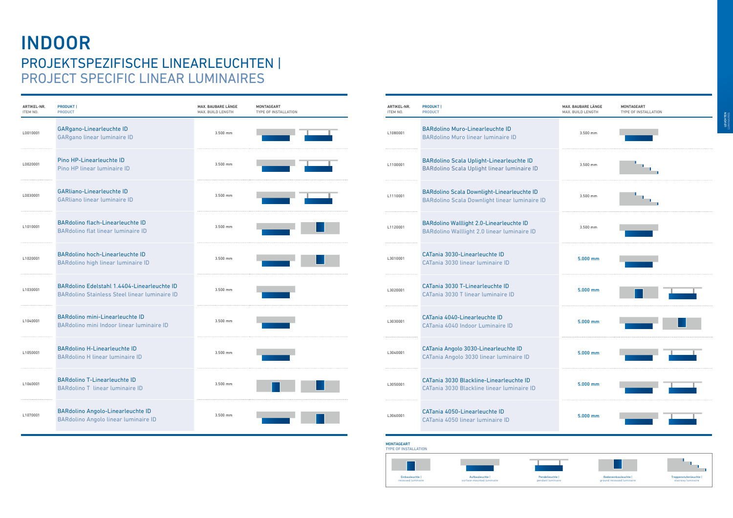## INDOOR PROJEKTSPEZIFISCHE LINEARLEUCHTEN | PROJECT SPECIFIC LINEAR LUMINAIRES



| ARTIKEL-NR.<br>ITEM NO. | <b>PRODUKT</b><br><b>PRODUCT</b>                                                                          |
|-------------------------|-----------------------------------------------------------------------------------------------------------|
| L1080001                | <b>BARdolino Muro-Linearleuchte ID</b><br><b>BARdolino Muro linear luminaire ID</b>                       |
| L1100001                | <b>BARdolino Scala Uplight-Linearleuchte ID</b><br>BARdolino Scala Uplight linear luminaire ID            |
| L1110001                | <b>BARdolino Scala Downlight-Linearleuchte ID</b><br><b>BARdolino Scala Downlight linear luminaire ID</b> |
| L1120001                | <b>BARdolino Walllight 2.0-Linearleuchte ID</b><br>BARdolino Walllight 2.0 linear luminaire ID            |
| L3010001                | CATania 3030-Linearleuchte ID<br>CATania 3030 linear luminaire ID                                         |
| L3020001                | CATania 3030 T-Linearleuchte ID<br>CATania 3030 T linear luminaire ID                                     |
| L3030001                | CATania 4040-Linearleuchte ID<br>CATania 4040 Indoor Luminaire ID                                         |
| L3040001                | CATania Angolo 3030-Linearleuchte ID<br>CATania Angolo 3030 linear luminaire ID                           |
| L3050001                | CATania 3030 Blackline-Linearleuchte ID<br>CATania 3030 Blackline linear luminaire ID                     |
| L3060001                | CATania 4050-Linearleuchte ID<br>CATania 4050 linear luminaire ID                                         |





| <b>MONTAGEART</b> |                             |
|-------------------|-----------------------------|
|                   | <b>TYPE OF INSTALLATION</b> |